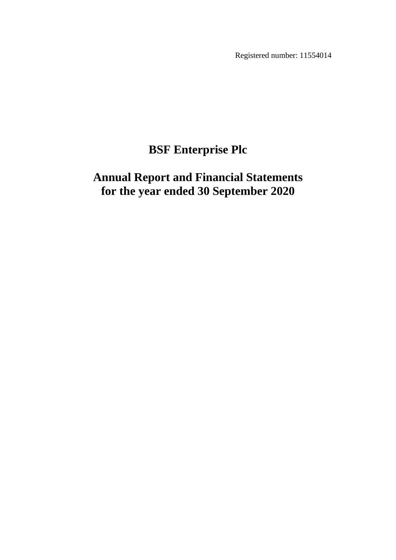Registered number: 11554014

# **BSF Enterprise Plc**

# **Annual Report and Financial Statements for the year ended 30 September 2020**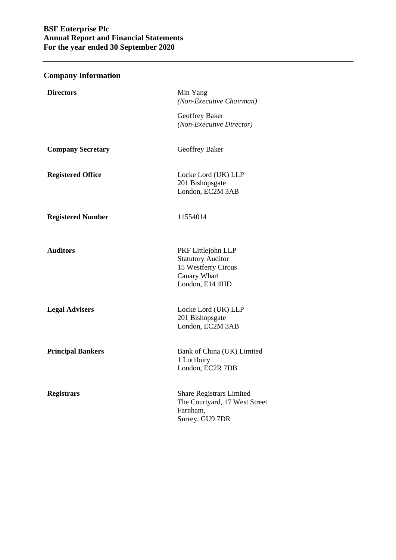# **BSF Enterprise Plc Annual Report and Financial Statements For the year ended 30 September 2020**

# **Company Information**

| <b>Directors</b>         | Min Yang<br>(Non-Executive Chairman)                                                                     |
|--------------------------|----------------------------------------------------------------------------------------------------------|
|                          | Geoffrey Baker<br>(Non-Executive Director)                                                               |
| <b>Company Secretary</b> | Geoffrey Baker                                                                                           |
| <b>Registered Office</b> | Locke Lord (UK) LLP<br>201 Bishopsgate<br>London, EC2M 3AB                                               |
| <b>Registered Number</b> | 11554014                                                                                                 |
| <b>Auditors</b>          | PKF Littlejohn LLP<br><b>Statutory Auditor</b><br>15 Westferry Circus<br>Canary Wharf<br>London, E14 4HD |
| <b>Legal Advisers</b>    | Locke Lord (UK) LLP<br>201 Bishopsgate<br>London, EC2M 3AB                                               |
| <b>Principal Bankers</b> | Bank of China (UK) Limited<br>1 Lothbury<br>London, EC2R 7DB                                             |
| <b>Registrars</b>        | <b>Share Registrars Limited</b><br>The Courtyard, 17 West Street<br>Farnham,<br>Surrey, GU9 7DR          |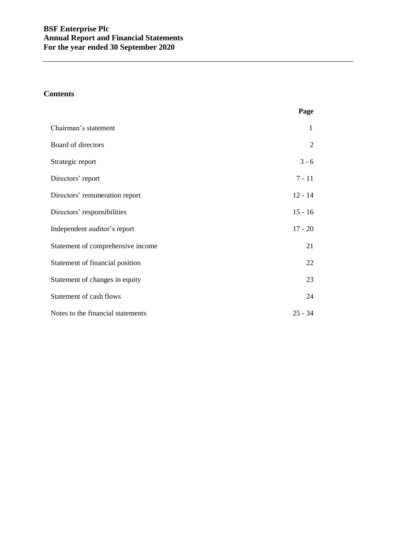# **Contents**

 $\overline{\phantom{a}}$ 

|                                   | Page      |
|-----------------------------------|-----------|
| Chairman's statement              | 1         |
| Board of directors                | 2         |
| Strategic report                  | $3 - 6$   |
| Directors' report                 | $7 - 11$  |
| Directors' remuneration report    | $12 - 14$ |
| Directors' responsibilities       | $15 - 16$ |
| Independent auditor's report      | $17 - 20$ |
| Statement of comprehensive income | 21        |
| Statement of financial position   | 22        |
| Statement of changes in equity    | 23        |
| Statement of cash flows           | 24        |
| Notes to the financial statements | $25 - 34$ |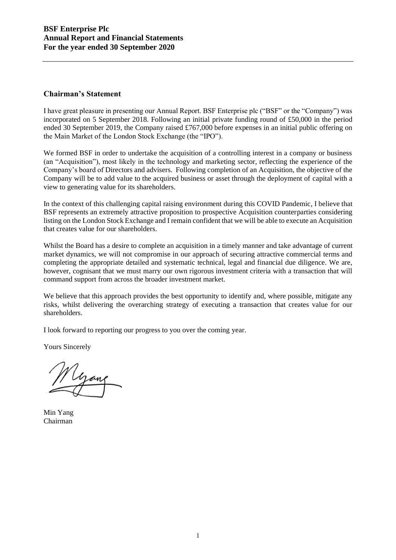# **Chairman's Statement**

I have great pleasure in presenting our Annual Report. BSF Enterprise plc ("BSF" or the "Company") was incorporated on 5 September 2018. Following an initial private funding round of £50,000 in the period ended 30 September 2019, the Company raised £767,000 before expenses in an initial public offering on the Main Market of the London Stock Exchange (the "IPO").

We formed BSF in order to undertake the acquisition of a controlling interest in a company or business (an "Acquisition"), most likely in the technology and marketing sector, reflecting the experience of the Company's board of Directors and advisers. Following completion of an Acquisition, the objective of the Company will be to add value to the acquired business or asset through the deployment of capital with a view to generating value for its shareholders.

In the context of this challenging capital raising environment during this COVID Pandemic, I believe that BSF represents an extremely attractive proposition to prospective Acquisition counterparties considering listing on the London Stock Exchange and I remain confident that we will be able to execute an Acquisition that creates value for our shareholders.

Whilst the Board has a desire to complete an acquisition in a timely manner and take advantage of current market dynamics, we will not compromise in our approach of securing attractive commercial terms and completing the appropriate detailed and systematic technical, legal and financial due diligence. We are, however, cognisant that we must marry our own rigorous investment criteria with a transaction that will command support from across the broader investment market.

We believe that this approach provides the best opportunity to identify and, where possible, mitigate any risks, whilst delivering the overarching strategy of executing a transaction that creates value for our shareholders.

I look forward to reporting our progress to you over the coming year.

Yours Sincerely

Min Yang Chairman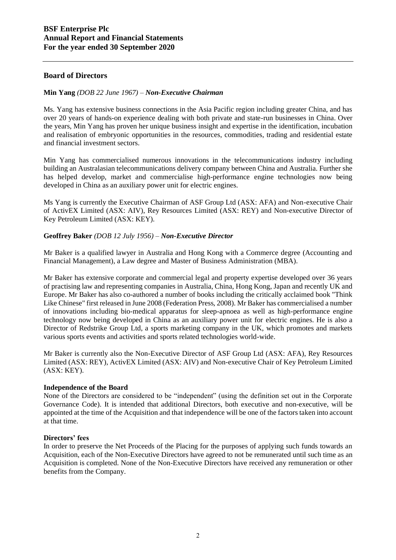# **Board of Directors**

### **Min Yang** *(DOB 22 June 1967) – Non-Executive Chairman*

Ms. Yang has extensive business connections in the Asia Pacific region including greater China, and has over 20 years of hands-on experience dealing with both private and state-run businesses in China. Over the years, Min Yang has proven her unique business insight and expertise in the identification, incubation and realisation of embryonic opportunities in the resources, commodities, trading and residential estate and financial investment sectors.

Min Yang has commercialised numerous innovations in the telecommunications industry including building an Australasian telecommunications delivery company between China and Australia. Further she has helped develop, market and commercialise high-performance engine technologies now being developed in China as an auxiliary power unit for electric engines.

Ms Yang is currently the Executive Chairman of ASF Group Ltd (ASX: AFA) and Non-executive Chair of ActivEX Limited (ASX: AIV), Rey Resources Limited (ASX: REY) and Non-executive Director of Key Petroleum Limited (ASX: KEY).

# **Geoffrey Baker** *(DOB 12 July 1956) – Non-Executive Director*

Mr Baker is a qualified lawyer in Australia and Hong Kong with a Commerce degree (Accounting and Financial Management), a Law degree and Master of Business Administration (MBA).

Mr Baker has extensive corporate and commercial legal and property expertise developed over 36 years of practising law and representing companies in Australia, China, Hong Kong, Japan and recently UK and Europe. Mr Baker has also co-authored a number of books including the critically acclaimed book "Think Like Chinese" first released in June 2008 (Federation Press, 2008). Mr Baker has commercialised a number of innovations including bio-medical apparatus for sleep-apnoea as well as high-performance engine technology now being developed in China as an auxiliary power unit for electric engines. He is also a Director of Redstrike Group Ltd, a sports marketing company in the UK, which promotes and markets various sports events and activities and sports related technologies world-wide.

Mr Baker is currently also the Non-Executive Director of ASF Group Ltd (ASX: AFA), Rey Resources Limited (ASX: REY), ActivEX Limited (ASX: AIV) and Non-executive Chair of Key Petroleum Limited (ASX: KEY).

### **Independence of the Board**

None of the Directors are considered to be "independent" (using the definition set out in the Corporate Governance Code). It is intended that additional Directors, both executive and non-executive, will be appointed at the time of the Acquisition and that independence will be one of the factors taken into account at that time.

# **Directors' fees**

In order to preserve the Net Proceeds of the Placing for the purposes of applying such funds towards an Acquisition, each of the Non-Executive Directors have agreed to not be remunerated until such time as an Acquisition is completed. None of the Non-Executive Directors have received any remuneration or other benefits from the Company.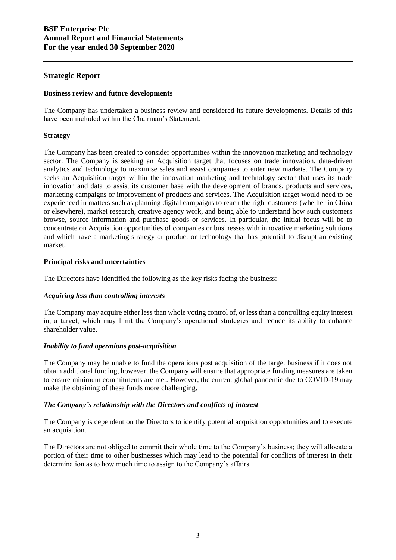# **Strategic Report**

### **Business review and future developments**

The Company has undertaken a business review and considered its future developments. Details of this have been included within the Chairman's Statement.

### **Strategy**

The Company has been created to consider opportunities within the innovation marketing and technology sector. The Company is seeking an Acquisition target that focuses on trade innovation, data-driven analytics and technology to maximise sales and assist companies to enter new markets. The Company seeks an Acquisition target within the innovation marketing and technology sector that uses its trade innovation and data to assist its customer base with the development of brands, products and services, marketing campaigns or improvement of products and services. The Acquisition target would need to be experienced in matters such as planning digital campaigns to reach the right customers (whether in China or elsewhere), market research, creative agency work, and being able to understand how such customers browse, source information and purchase goods or services. In particular, the initial focus will be to concentrate on Acquisition opportunities of companies or businesses with innovative marketing solutions and which have a marketing strategy or product or technology that has potential to disrupt an existing market.

### **Principal risks and uncertainties**

The Directors have identified the following as the key risks facing the business:

### *Acquiring less than controlling interests*

The Company may acquire either less than whole voting control of, or less than a controlling equity interest in, a target, which may limit the Company's operational strategies and reduce its ability to enhance shareholder value.

#### *Inability to fund operations post-acquisition*

The Company may be unable to fund the operations post acquisition of the target business if it does not obtain additional funding, however, the Company will ensure that appropriate funding measures are taken to ensure minimum commitments are met. However, the current global pandemic due to COVID-19 may make the obtaining of these funds more challenging.

### *The Company's relationship with the Directors and conflicts of interest*

The Company is dependent on the Directors to identify potential acquisition opportunities and to execute an acquisition.

The Directors are not obliged to commit their whole time to the Company's business; they will allocate a portion of their time to other businesses which may lead to the potential for conflicts of interest in their determination as to how much time to assign to the Company's affairs.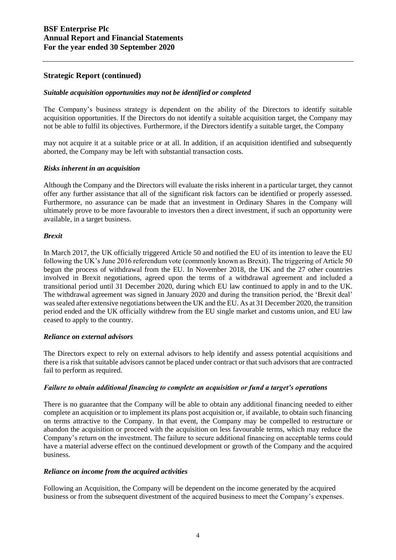# **Strategic Report (continued)**

### *Suitable acquisition opportunities may not be identified or completed*

The Company's business strategy is dependent on the ability of the Directors to identify suitable acquisition opportunities. If the Directors do not identify a suitable acquisition target, the Company may not be able to fulfil its objectives. Furthermore, if the Directors identify a suitable target, the Company

may not acquire it at a suitable price or at all. In addition, if an acquisition identified and subsequently aborted, the Company may be left with substantial transaction costs.

### *Risks inherent in an acquisition*

Although the Company and the Directors will evaluate the risks inherent in a particular target, they cannot offer any further assistance that all of the significant risk factors can be identified or properly assessed. Furthermore, no assurance can be made that an investment in Ordinary Shares in the Company will ultimately prove to be more favourable to investors then a direct investment, if such an opportunity were available, in a target business.

### *Brexit*

In March 2017, the UK officially triggered Article 50 and notified the EU of its intention to leave the EU following the UK's June 2016 referendum vote (commonly known as Brexit). The triggering of Article 50 begun the process of withdrawal from the EU. In November 2018, the UK and the 27 other countries involved in Brexit negotiations, agreed upon the terms of a withdrawal agreement and included a transitional period until 31 December 2020, during which EU law continued to apply in and to the UK. The withdrawal agreement was signed in January 2020 and during the transition period, the 'Brexit deal' was sealed after extensive negotiations between the UK and the EU. As at 31 December 2020, the transition period ended and the UK officially withdrew from the EU single market and customs union, and EU law ceased to apply to the country.

#### *Reliance on external advisors*

The Directors expect to rely on external advisors to help identify and assess potential acquisitions and there is a risk that suitable advisors cannot be placed under contract or that such advisors that are contracted fail to perform as required.

#### *Failure to obtain additional financing to complete an acquisition or fund a target's operations*

There is no guarantee that the Company will be able to obtain any additional financing needed to either complete an acquisition or to implement its plans post acquisition or, if available, to obtain such financing on terms attractive to the Company. In that event, the Company may be compelled to restructure or abandon the acquisition or proceed with the acquisition on less favourable terms, which may reduce the Company's return on the investment. The failure to secure additional financing on acceptable terms could have a material adverse effect on the continued development or growth of the Company and the acquired business.

### *Reliance on income from the acquired activities*

Following an Acquisition, the Company will be dependent on the income generated by the acquired business or from the subsequent divestment of the acquired business to meet the Company's expenses.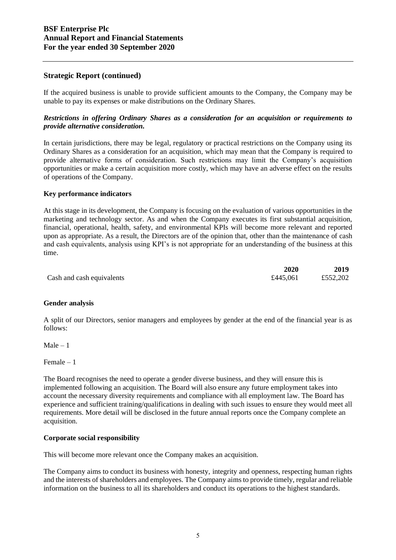### **Strategic Report (continued)**

If the acquired business is unable to provide sufficient amounts to the Company, the Company may be unable to pay its expenses or make distributions on the Ordinary Shares.

### *Restrictions in offering Ordinary Shares as a consideration for an acquisition or requirements to provide alternative consideration.*

In certain jurisdictions, there may be legal, regulatory or practical restrictions on the Company using its Ordinary Shares as a consideration for an acquisition, which may mean that the Company is required to provide alternative forms of consideration. Such restrictions may limit the Company's acquisition opportunities or make a certain acquisition more costly, which may have an adverse effect on the results of operations of the Company.

### **Key performance indicators**

At this stage in its development, the Company is focusing on the evaluation of various opportunities in the marketing and technology sector. As and when the Company executes its first substantial acquisition, financial, operational, health, safety, and environmental KPIs will become more relevant and reported upon as appropriate. As a result, the Directors are of the opinion that, other than the maintenance of cash and cash equivalents, analysis using KPI's is not appropriate for an understanding of the business at this time.

|                           | 2020     | 2019     |
|---------------------------|----------|----------|
| Cash and cash equivalents | £445,061 | £552,202 |

### **Gender analysis**

A split of our Directors, senior managers and employees by gender at the end of the financial year is as follows:

 $Male - 1$ 

Female – 1

The Board recognises the need to operate a gender diverse business, and they will ensure this is implemented following an acquisition. The Board will also ensure any future employment takes into account the necessary diversity requirements and compliance with all employment law. The Board has experience and sufficient training/qualifications in dealing with such issues to ensure they would meet all requirements. More detail will be disclosed in the future annual reports once the Company complete an acquisition.

### **Corporate social responsibility**

This will become more relevant once the Company makes an acquisition.

The Company aims to conduct its business with honesty, integrity and openness, respecting human rights and the interests of shareholders and employees. The Company aims to provide timely, regular and reliable information on the business to all its shareholders and conduct its operations to the highest standards.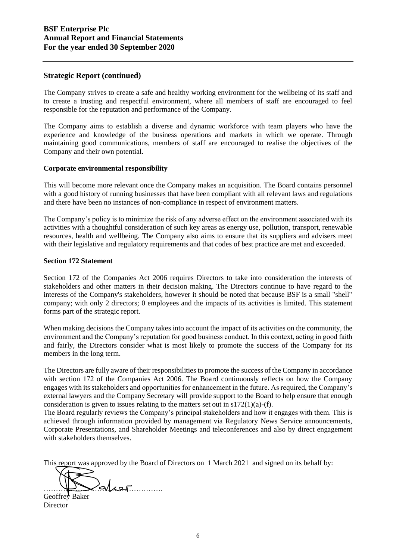### **Strategic Report (continued)**

The Company strives to create a safe and healthy working environment for the wellbeing of its staff and to create a trusting and respectful environment, where all members of staff are encouraged to feel responsible for the reputation and performance of the Company.

The Company aims to establish a diverse and dynamic workforce with team players who have the experience and knowledge of the business operations and markets in which we operate. Through maintaining good communications, members of staff are encouraged to realise the objectives of the Company and their own potential.

#### **Corporate environmental responsibility**

This will become more relevant once the Company makes an acquisition. The Board contains personnel with a good history of running businesses that have been compliant with all relevant laws and regulations and there have been no instances of non-compliance in respect of environment matters.

The Company's policy is to minimize the risk of any adverse effect on the environment associated with its activities with a thoughtful consideration of such key areas as energy use, pollution, transport, renewable resources, health and wellbeing. The Company also aims to ensure that its suppliers and advisers meet with their legislative and regulatory requirements and that codes of best practice are met and exceeded.

### **Section 172 Statement**

Section 172 of the Companies Act 2006 requires Directors to take into consideration the interests of stakeholders and other matters in their decision making. The Directors continue to have regard to the interests of the Company's stakeholders, however it should be noted that because BSF is a small "shell" company; with only 2 directors; 0 employees and the impacts of its activities is limited. This statement forms part of the strategic report.

When making decisions the Company takes into account the impact of its activities on the community, the environment and the Company's reputation for good business conduct. In this context, acting in good faith and fairly, the Directors consider what is most likely to promote the success of the Company for its members in the long term.

The Directors are fully aware of their responsibilities to promote the success of the Company in accordance with section 172 of the Companies Act 2006. The Board continuously reflects on how the Company engages with its stakeholders and opportunities for enhancement in the future. As required, the Company's external lawyers and the Company Secretary will provide support to the Board to help ensure that enough consideration is given to issues relating to the matters set out in  $s172(1)(a)$ -(f).

The Board regularly reviews the Company's principal stakeholders and how it engages with them. This is achieved through information provided by management via Regulatory News Service announcements, Corporate Presentations, and Shareholder Meetings and teleconferences and also by direct engagement with stakeholders themselves.

This report was approved by the Board of Directors on 1 March 2021 and signed on its behalf by:

 $\lambda$ Geoffrey Baker

Director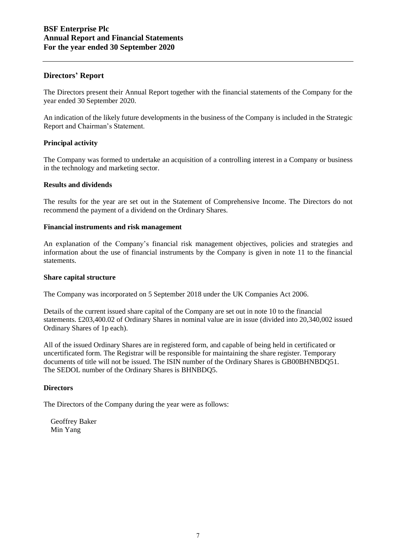# **Directors' Report**

The Directors present their Annual Report together with the financial statements of the Company for the year ended 30 September 2020.

An indication of the likely future developments in the business of the Company is included in the Strategic Report and Chairman's Statement.

### **Principal activity**

The Company was formed to undertake an acquisition of a controlling interest in a Company or business in the technology and marketing sector.

### **Results and dividends**

The results for the year are set out in the Statement of Comprehensive Income. The Directors do not recommend the payment of a dividend on the Ordinary Shares.

### **Financial instruments and risk management**

An explanation of the Company's financial risk management objectives, policies and strategies and information about the use of financial instruments by the Company is given in note 11 to the financial statements.

### **Share capital structure**

The Company was incorporated on 5 September 2018 under the UK Companies Act 2006.

Details of the current issued share capital of the Company are set out in note 10 to the financial statements. £203,400.02 of Ordinary Shares in nominal value are in issue (divided into 20,340,002 issued Ordinary Shares of 1p each).

All of the issued Ordinary Shares are in registered form, and capable of being held in certificated or uncertificated form. The Registrar will be responsible for maintaining the share register. Temporary documents of title will not be issued. The ISIN number of the Ordinary Shares is GB00BHNBDQ51. The SEDOL number of the Ordinary Shares is BHNBDQ5.

### **Directors**

The Directors of the Company during the year were as follows:

Geoffrey Baker Min Yang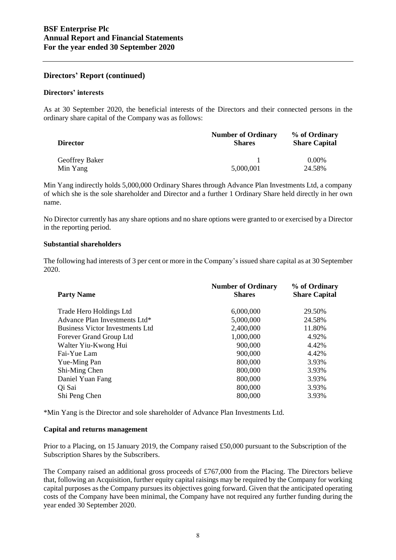### **Directors' interests**

As at 30 September 2020, the beneficial interests of the Directors and their connected persons in the ordinary share capital of the Company was as follows:

| <b>Director</b> | <b>Number of Ordinary</b><br><b>Shares</b> | % of Ordinary<br><b>Share Capital</b> |
|-----------------|--------------------------------------------|---------------------------------------|
| Geoffrey Baker  |                                            | $0.00\%$                              |
| Min Yang        | 5,000,001                                  | 24.58%                                |

Min Yang indirectly holds 5,000,000 Ordinary Shares through Advance Plan Investments Ltd, a company of which she is the sole shareholder and Director and a further 1 Ordinary Share held directly in her own name.

No Director currently has any share options and no share options were granted to or exercised by a Director in the reporting period.

### **Substantial shareholders**

The following had interests of 3 per cent or more in the Company's issued share capital as at 30 September 2020.

| <b>Number of Ordinary</b><br><b>Shares</b> | % of Ordinary<br><b>Share Capital</b> |
|--------------------------------------------|---------------------------------------|
| 6,000,000                                  | 29.50%                                |
| 5,000,000                                  | 24.58%                                |
| 2,400,000                                  | 11.80%                                |
| 1,000,000                                  | 4.92%                                 |
| 900,000                                    | 4.42%                                 |
| 900,000                                    | 4.42%                                 |
| 800,000                                    | 3.93%                                 |
| 800,000                                    | 3.93%                                 |
| 800,000                                    | 3.93%                                 |
| 800,000                                    | 3.93%                                 |
| 800,000                                    | 3.93%                                 |
|                                            |                                       |

\*Min Yang is the Director and sole shareholder of Advance Plan Investments Ltd.

#### **Capital and returns management**

Prior to a Placing, on 15 January 2019, the Company raised £50,000 pursuant to the Subscription of the Subscription Shares by the Subscribers.

The Company raised an additional gross proceeds of £767,000 from the Placing. The Directors believe that, following an Acquisition, further equity capital raisings may be required by the Company for working capital purposes as the Company pursues its objectives going forward. Given that the anticipated operating costs of the Company have been minimal, the Company have not required any further funding during the year ended 30 September 2020.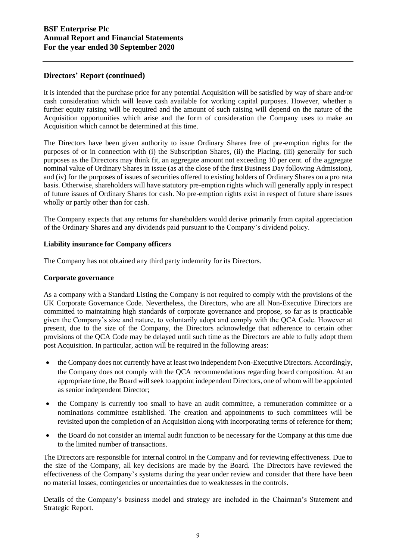It is intended that the purchase price for any potential Acquisition will be satisfied by way of share and/or cash consideration which will leave cash available for working capital purposes. However, whether a further equity raising will be required and the amount of such raising will depend on the nature of the Acquisition opportunities which arise and the form of consideration the Company uses to make an Acquisition which cannot be determined at this time.

The Directors have been given authority to issue Ordinary Shares free of pre-emption rights for the purposes of or in connection with (i) the Subscription Shares, (ii) the Placing, (iii) generally for such purposes as the Directors may think fit, an aggregate amount not exceeding 10 per cent. of the aggregate nominal value of Ordinary Shares in issue (as at the close of the first Business Day following Admission), and (iv) for the purposes of issues of securities offered to existing holders of Ordinary Shares on a pro rata basis. Otherwise, shareholders will have statutory pre-emption rights which will generally apply in respect of future issues of Ordinary Shares for cash. No pre-emption rights exist in respect of future share issues wholly or partly other than for cash.

The Company expects that any returns for shareholders would derive primarily from capital appreciation of the Ordinary Shares and any dividends paid pursuant to the Company's dividend policy.

### **Liability insurance for Company officers**

The Company has not obtained any third party indemnity for its Directors.

### **Corporate governance**

As a company with a Standard Listing the Company is not required to comply with the provisions of the UK Corporate Governance Code. Nevertheless, the Directors, who are all Non-Executive Directors are committed to maintaining high standards of corporate governance and propose, so far as is practicable given the Company's size and nature, to voluntarily adopt and comply with the QCA Code. However at present, due to the size of the Company, the Directors acknowledge that adherence to certain other provisions of the QCA Code may be delayed until such time as the Directors are able to fully adopt them post Acquisition. In particular, action will be required in the following areas:

- the Company does not currently have at least two independent Non-Executive Directors. Accordingly, the Company does not comply with the QCA recommendations regarding board composition. At an appropriate time, the Board will seek to appoint independent Directors, one of whom will be appointed as senior independent Director;
- the Company is currently too small to have an audit committee, a remuneration committee or a nominations committee established. The creation and appointments to such committees will be revisited upon the completion of an Acquisition along with incorporating terms of reference for them;
- the Board do not consider an internal audit function to be necessary for the Company at this time due to the limited number of transactions.

The Directors are responsible for internal control in the Company and for reviewing effectiveness. Due to the size of the Company, all key decisions are made by the Board. The Directors have reviewed the effectiveness of the Company's systems during the year under review and consider that there have been no material losses, contingencies or uncertainties due to weaknesses in the controls.

Details of the Company's business model and strategy are included in the Chairman's Statement and Strategic Report.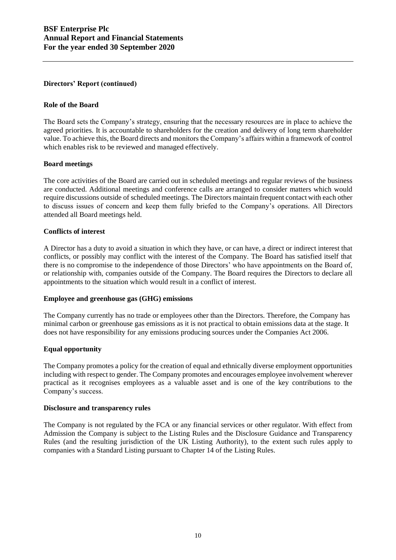# **Role of the Board**

The Board sets the Company's strategy, ensuring that the necessary resources are in place to achieve the agreed priorities. It is accountable to shareholders for the creation and delivery of long term shareholder value. To achieve this, the Board directs and monitors the Company's affairs within a framework of control which enables risk to be reviewed and managed effectively.

# **Board meetings**

The core activities of the Board are carried out in scheduled meetings and regular reviews of the business are conducted. Additional meetings and conference calls are arranged to consider matters which would require discussions outside of scheduled meetings. The Directors maintain frequent contact with each other to discuss issues of concern and keep them fully briefed to the Company's operations. All Directors attended all Board meetings held.

# **Conflicts of interest**

A Director has a duty to avoid a situation in which they have, or can have, a direct or indirect interest that conflicts, or possibly may conflict with the interest of the Company. The Board has satisfied itself that there is no compromise to the independence of those Directors' who have appointments on the Board of, or relationship with, companies outside of the Company. The Board requires the Directors to declare all appointments to the situation which would result in a conflict of interest.

### **Employee and greenhouse gas (GHG) emissions**

The Company currently has no trade or employees other than the Directors. Therefore, the Company has minimal carbon or greenhouse gas emissions as it is not practical to obtain emissions data at the stage. It does not have responsibility for any emissions producing sources under the Companies Act 2006.

# **Equal opportunity**

The Company promotes a policy for the creation of equal and ethnically diverse employment opportunities including with respect to gender. The Company promotes and encourages employee involvement wherever practical as it recognises employees as a valuable asset and is one of the key contributions to the Company's success.

# **Disclosure and transparency rules**

The Company is not regulated by the FCA or any financial services or other regulator. With effect from Admission the Company is subject to the Listing Rules and the Disclosure Guidance and Transparency Rules (and the resulting jurisdiction of the UK Listing Authority), to the extent such rules apply to companies with a Standard Listing pursuant to Chapter 14 of the Listing Rules.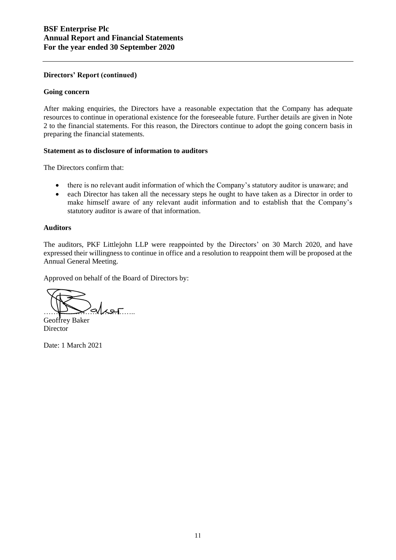### **Going concern**

After making enquiries, the Directors have a reasonable expectation that the Company has adequate resources to continue in operational existence for the foreseeable future. Further details are given in Note 2 to the financial statements. For this reason, the Directors continue to adopt the going concern basis in preparing the financial statements.

# **Statement as to disclosure of information to auditors**

The Directors confirm that:

- there is no relevant audit information of which the Company's statutory auditor is unaware; and
- each Director has taken all the necessary steps he ought to have taken as a Director in order to make himself aware of any relevant audit information and to establish that the Company's statutory auditor is aware of that information.

### **Auditors**

The auditors, PKF Littlejohn LLP were reappointed by the Directors' on 30 March 2020, and have expressed their willingness to continue in office and a resolution to reappoint them will be proposed at the Annual General Meeting.

Approved on behalf of the Board of Directors by:

………………………………..

Geoffrey Baker Director

Date: 1 March 2021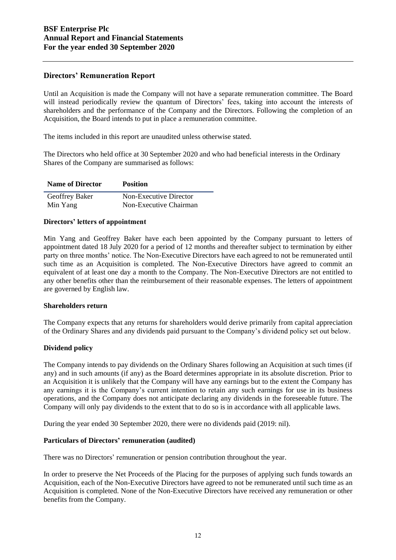# **Directors' Remuneration Report**

Until an Acquisition is made the Company will not have a separate remuneration committee. The Board will instead periodically review the quantum of Directors' fees, taking into account the interests of shareholders and the performance of the Company and the Directors. Following the completion of an Acquisition, the Board intends to put in place a remuneration committee.

The items included in this report are unaudited unless otherwise stated.

The Directors who held office at 30 September 2020 and who had beneficial interests in the Ordinary Shares of the Company are summarised as follows:

| <b>Name of Director</b> | <b>Position</b>        |
|-------------------------|------------------------|
| Geoffrey Baker          | Non-Executive Director |
| Min Yang                | Non-Executive Chairman |

### **Directors' letters of appointment**

Min Yang and Geoffrey Baker have each been appointed by the Company pursuant to letters of appointment dated 18 July 2020 for a period of 12 months and thereafter subject to termination by either party on three months' notice. The Non-Executive Directors have each agreed to not be remunerated until such time as an Acquisition is completed. The Non-Executive Directors have agreed to commit an equivalent of at least one day a month to the Company. The Non-Executive Directors are not entitled to any other benefits other than the reimbursement of their reasonable expenses. The letters of appointment are governed by English law.

### **Shareholders return**

The Company expects that any returns for shareholders would derive primarily from capital appreciation of the Ordinary Shares and any dividends paid pursuant to the Company's dividend policy set out below.

### **Dividend policy**

The Company intends to pay dividends on the Ordinary Shares following an Acquisition at such times (if any) and in such amounts (if any) as the Board determines appropriate in its absolute discretion. Prior to an Acquisition it is unlikely that the Company will have any earnings but to the extent the Company has any earnings it is the Company's current intention to retain any such earnings for use in its business operations, and the Company does not anticipate declaring any dividends in the foreseeable future. The Company will only pay dividends to the extent that to do so is in accordance with all applicable laws.

During the year ended 30 September 2020, there were no dividends paid (2019: nil).

### **Particulars of Directors' remuneration (audited)**

There was no Directors' remuneration or pension contribution throughout the year.

In order to preserve the Net Proceeds of the Placing for the purposes of applying such funds towards an Acquisition, each of the Non-Executive Directors have agreed to not be remunerated until such time as an Acquisition is completed. None of the Non-Executive Directors have received any remuneration or other benefits from the Company.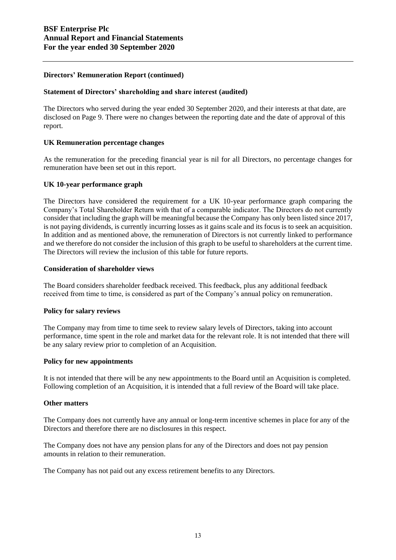### **Directors' Remuneration Report (continued)**

### **Statement of Directors' shareholding and share interest (audited)**

The Directors who served during the year ended 30 September 2020, and their interests at that date, are disclosed on Page 9. There were no changes between the reporting date and the date of approval of this report.

### **UK Remuneration percentage changes**

As the remuneration for the preceding financial year is nil for all Directors, no percentage changes for remuneration have been set out in this report.

### **UK 10-year performance graph**

The Directors have considered the requirement for a UK 10-year performance graph comparing the Company's Total Shareholder Return with that of a comparable indicator. The Directors do not currently consider that including the graph will be meaningful because the Company has only been listed since 2017, is not paying dividends, is currently incurring losses as it gains scale and its focus is to seek an acquisition. In addition and as mentioned above, the remuneration of Directors is not currently linked to performance and we therefore do not consider the inclusion of this graph to be useful to shareholders at the current time. The Directors will review the inclusion of this table for future reports.

### **Consideration of shareholder views**

The Board considers shareholder feedback received. This feedback, plus any additional feedback received from time to time, is considered as part of the Company's annual policy on remuneration.

### **Policy for salary reviews**

The Company may from time to time seek to review salary levels of Directors, taking into account performance, time spent in the role and market data for the relevant role. It is not intended that there will be any salary review prior to completion of an Acquisition.

### **Policy for new appointments**

It is not intended that there will be any new appointments to the Board until an Acquisition is completed. Following completion of an Acquisition, it is intended that a full review of the Board will take place.

### **Other matters**

The Company does not currently have any annual or long-term incentive schemes in place for any of the Directors and therefore there are no disclosures in this respect.

The Company does not have any pension plans for any of the Directors and does not pay pension amounts in relation to their remuneration.

The Company has not paid out any excess retirement benefits to any Directors.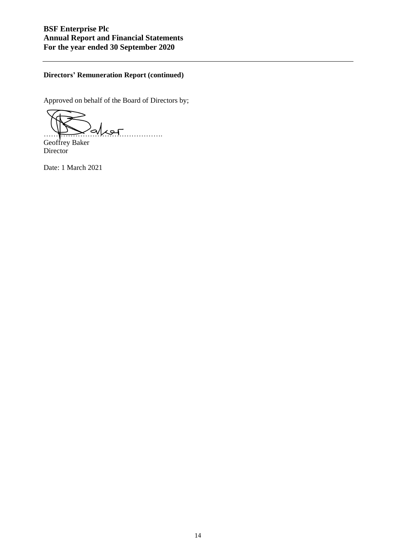# **BSF Enterprise Plc Annual Report and Financial Statements For the year ended 30 September 2020**

# **Directors' Remuneration Report (continued)**

Approved on behalf of the Board of Directors by;

………………………………………….

Geoffrey Baker **Director** 

Date: 1 March 2021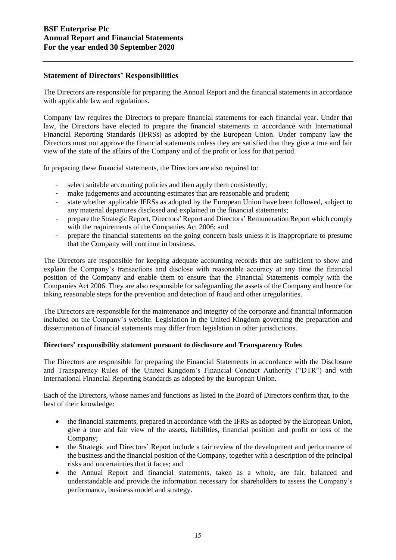# **Statement of Directors' Responsibilities**

The Directors are responsible for preparing the Annual Report and the financial statements in accordance with applicable law and regulations.

Company law requires the Directors to prepare financial statements for each financial year. Under that law, the Directors have elected to prepare the financial statements in accordance with International Financial Reporting Standards (IFRSs) as adopted by the European Union. Under company law the Directors must not approve the financial statements unless they are satisfied that they give a true and fair view of the state of the affairs of the Company and of the profit or loss for that period.

In preparing these financial statements, the Directors are also required to:

- select suitable accounting policies and then apply them consistently;
- make judgements and accounting estimates that are reasonable and prudent;
- state whether applicable IFRSs as adopted by the European Union have been followed, subject to any material departures disclosed and explained in the financial statements;
- prepare the Strategic Report, Directors' Report and Directors' Remuneration Report which comply with the requirements of the Companies Act 2006; and
- prepare the financial statements on the going concern basis unless it is inappropriate to presume that the Company will continue in business.

The Directors are responsible for keeping adequate accounting records that are sufficient to show and explain the Company's transactions and disclose with reasonable accuracy at any time the financial position of the Company and enable them to ensure that the Financial Statements comply with the Companies Act 2006. They are also responsible for safeguarding the assets of the Company and hence for taking reasonable steps for the prevention and detection of fraud and other irregularities.

The Directors are responsible for the maintenance and integrity of the corporate and financial information included on the Company's website. Legislation in the United Kingdom governing the preparation and dissemination of financial statements may differ from legislation in other jurisdictions.

### **Directors' responsibility statement pursuant to disclosure and Transparency Rules**

The Directors are responsible for preparing the Financial Statements in accordance with the Disclosure and Transparency Rules of the United Kingdom's Financial Conduct Authority ("DTR") and with International Financial Reporting Standards as adopted by the European Union.

Each of the Directors, whose names and functions as listed in the Board of Directors confirm that, to the best of their knowledge:

- the financial statements, prepared in accordance with the IFRS as adopted by the European Union, give a true and fair view of the assets, liabilities, financial position and profit or loss of the Company;
- the Strategic and Directors' Report include a fair review of the development and performance of the business and the financial position of the Company, together with a description of the principal risks and uncertainties that it faces; and
- the Annual Report and financial statements, taken as a whole, are fair, balanced and understandable and provide the information necessary for shareholders to assess the Company's performance, business model and strategy.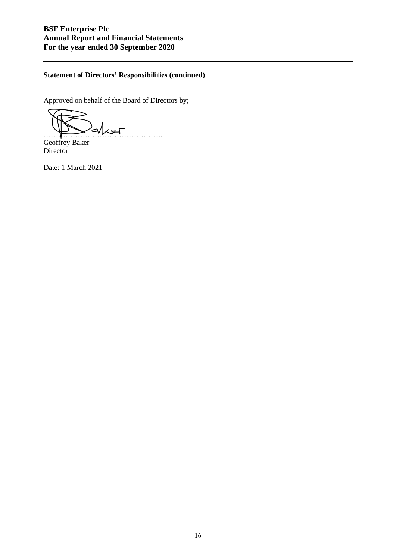# **BSF Enterprise Plc Annual Report and Financial Statements For the year ended 30 September 2020**

# **Statement of Directors' Responsibilities (continued)**

Approved on behalf of the Board of Directors by;

………………………………………….

Geoffrey Baker **Director** 

Date: 1 March 2021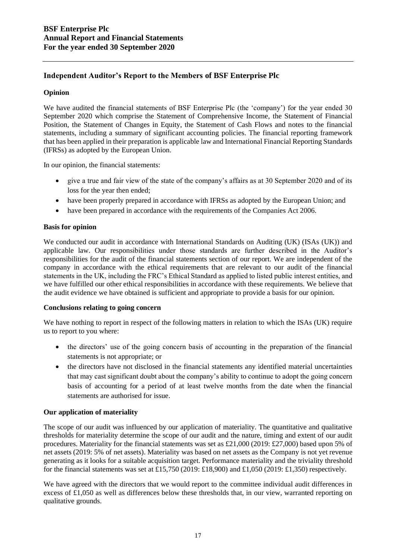# **Independent Auditor's Report to the Members of BSF Enterprise Plc**

# **Opinion**

We have audited the financial statements of BSF Enterprise Plc (the 'company') for the year ended 30 September 2020 which comprise the Statement of Comprehensive Income, the Statement of Financial Position, the Statement of Changes in Equity, the Statement of Cash Flows and notes to the financial statements, including a summary of significant accounting policies. The financial reporting framework that has been applied in their preparation is applicable law and International Financial Reporting Standards (IFRSs) as adopted by the European Union.

In our opinion, the financial statements:

- give a true and fair view of the state of the company's affairs as at 30 September 2020 and of its loss for the year then ended;
- have been properly prepared in accordance with IFRSs as adopted by the European Union; and
- have been prepared in accordance with the requirements of the Companies Act 2006.

# **Basis for opinion**

We conducted our audit in accordance with International Standards on Auditing (UK) (ISAs (UK)) and applicable law. Our responsibilities under those standards are further described in the Auditor's responsibilities for the audit of the financial statements section of our report. We are independent of the company in accordance with the ethical requirements that are relevant to our audit of the financial statements in the UK, including the FRC's Ethical Standard as applied to listed public interest entities, and we have fulfilled our other ethical responsibilities in accordance with these requirements. We believe that the audit evidence we have obtained is sufficient and appropriate to provide a basis for our opinion.

### **Conclusions relating to going concern**

We have nothing to report in respect of the following matters in relation to which the ISAs (UK) require us to report to you where:

- the directors' use of the going concern basis of accounting in the preparation of the financial statements is not appropriate; or
- the directors have not disclosed in the financial statements any identified material uncertainties that may cast significant doubt about the company's ability to continue to adopt the going concern basis of accounting for a period of at least twelve months from the date when the financial statements are authorised for issue.

### **Our application of materiality**

The scope of our audit was influenced by our application of materiality. The quantitative and qualitative thresholds for materiality determine the scope of our audit and the nature, timing and extent of our audit procedures. Materiality for the financial statements was set as £21,000 (2019: £27,000) based upon 5% of net assets (2019: 5% of net assets). Materiality was based on net assets as the Company is not yet revenue generating as it looks for a suitable acquisition target. Performance materiality and the triviality threshold for the financial statements was set at £15,750 (2019: £18,900) and £1,050 (2019: £1,350) respectively.

We have agreed with the directors that we would report to the committee individual audit differences in excess of £1,050 as well as differences below these thresholds that, in our view, warranted reporting on qualitative grounds.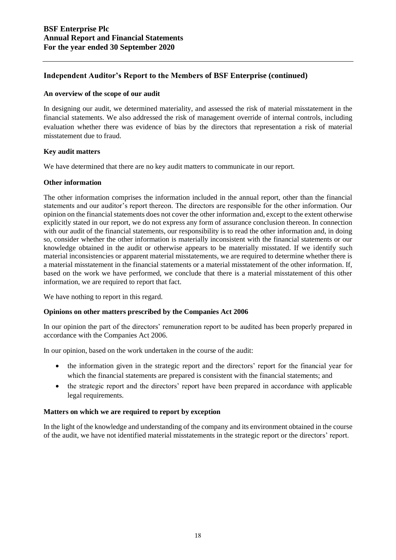# **Independent Auditor's Report to the Members of BSF Enterprise (continued)**

### **An overview of the scope of our audit**

In designing our audit, we determined materiality, and assessed the risk of material misstatement in the financial statements. We also addressed the risk of management override of internal controls, including evaluation whether there was evidence of bias by the directors that representation a risk of material misstatement due to fraud.

# **Key audit matters**

We have determined that there are no key audit matters to communicate in our report.

# **Other information**

The other information comprises the information included in the annual report, other than the financial statements and our auditor's report thereon. The directors are responsible for the other information. Our opinion on the financial statements does not cover the other information and, except to the extent otherwise explicitly stated in our report, we do not express any form of assurance conclusion thereon. In connection with our audit of the financial statements, our responsibility is to read the other information and, in doing so, consider whether the other information is materially inconsistent with the financial statements or our knowledge obtained in the audit or otherwise appears to be materially misstated. If we identify such material inconsistencies or apparent material misstatements, we are required to determine whether there is a material misstatement in the financial statements or a material misstatement of the other information. If, based on the work we have performed, we conclude that there is a material misstatement of this other information, we are required to report that fact.

We have nothing to report in this regard.

### **Opinions on other matters prescribed by the Companies Act 2006**

In our opinion the part of the directors' remuneration report to be audited has been properly prepared in accordance with the Companies Act 2006.

In our opinion, based on the work undertaken in the course of the audit:

- the information given in the strategic report and the directors' report for the financial year for which the financial statements are prepared is consistent with the financial statements; and
- the strategic report and the directors' report have been prepared in accordance with applicable legal requirements.

### **Matters on which we are required to report by exception**

In the light of the knowledge and understanding of the company and its environment obtained in the course of the audit, we have not identified material misstatements in the strategic report or the directors' report.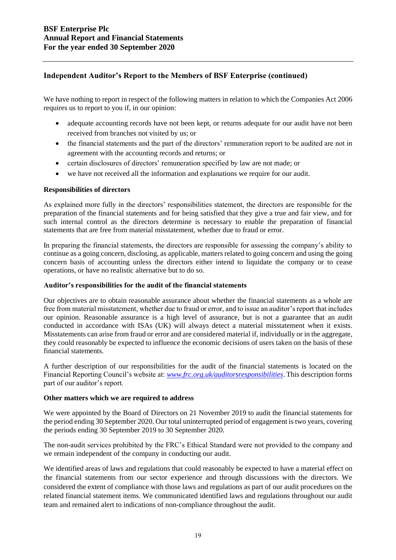# **Independent Auditor's Report to the Members of BSF Enterprise (continued)**

We have nothing to report in respect of the following matters in relation to which the Companies Act 2006 requires us to report to you if, in our opinion:

- adequate accounting records have not been kept, or returns adequate for our audit have not been received from branches not visited by us; or
- the financial statements and the part of the directors' remuneration report to be audited are not in agreement with the accounting records and returns; or
- certain disclosures of directors' remuneration specified by law are not made; or
- we have not received all the information and explanations we require for our audit.

### **Responsibilities of directors**

As explained more fully in the directors' responsibilities statement, the directors are responsible for the preparation of the financial statements and for being satisfied that they give a true and fair view, and for such internal control as the directors determine is necessary to enable the preparation of financial statements that are free from material misstatement, whether due to fraud or error.

In preparing the financial statements, the directors are responsible for assessing the company's ability to continue as a going concern, disclosing, as applicable, matters related to going concern and using the going concern basis of accounting unless the directors either intend to liquidate the company or to cease operations, or have no realistic alternative but to do so.

### **Auditor's responsibilities for the audit of the financial statements**

Our objectives are to obtain reasonable assurance about whether the financial statements as a whole are free from material misstatement, whether due to fraud or error, and to issue an auditor's report that includes our opinion. Reasonable assurance is a high level of assurance, but is not a guarantee that an audit conducted in accordance with ISAs (UK) will always detect a material misstatement when it exists. Misstatements can arise from fraud or error and are considered material if, individually or in the aggregate, they could reasonably be expected to influence the economic decisions of users taken on the basis of these financial statements.

A further description of our responsibilities for the audit of the financial statements is located on the Financial Reporting Council's website at: *[www.frc.org.uk/auditorsresponsibilities](http://www.frc.org.uk/auditorsresponsibilities)*. This description forms part of our auditor's report.

### **Other matters which we are required to address**

We were appointed by the Board of Directors on 21 November 2019 to audit the financial statements for the period ending 30 September 2020. Our total uninterrupted period of engagement is two years, covering the periods ending 30 September 2019 to 30 September 2020.

The non-audit services prohibited by the FRC's Ethical Standard were not provided to the company and we remain independent of the company in conducting our audit.

We identified areas of laws and regulations that could reasonably be expected to have a material effect on the financial statements from our sector experience and through discussions with the directors. We considered the extent of compliance with those laws and regulations as part of our audit procedures on the related financial statement items. We communicated identified laws and regulations throughout our audit team and remained alert to indications of non-compliance throughout the audit.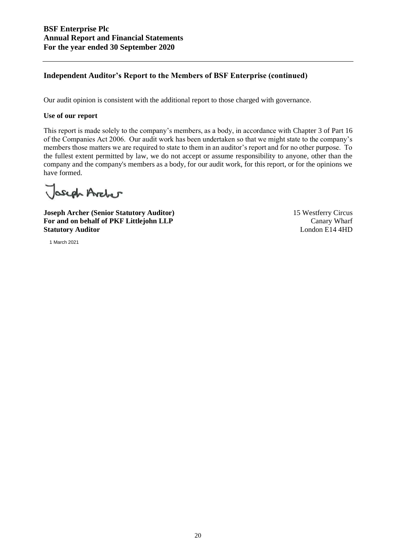# **Independent Auditor's Report to the Members of BSF Enterprise (continued)**

Our audit opinion is consistent with the additional report to those charged with governance.

### **Use of our report**

This report is made solely to the company's members, as a body, in accordance with Chapter 3 of Part 16 of the Companies Act 2006. Our audit work has been undertaken so that we might state to the company's members those matters we are required to state to them in an auditor's report and for no other purpose. To the fullest extent permitted by law, we do not accept or assume responsibility to anyone, other than the company and the company's members as a body, for our audit work, for this report, or for the opinions we have formed.

Joseph Archer

**Joseph Archer (Senior Statutory Auditor)** 15 Westferry Circus For and on behalf of PKF Littlejohn LLP Canary Wharf **Statutory Auditor** London E14 4HD

1 March 2021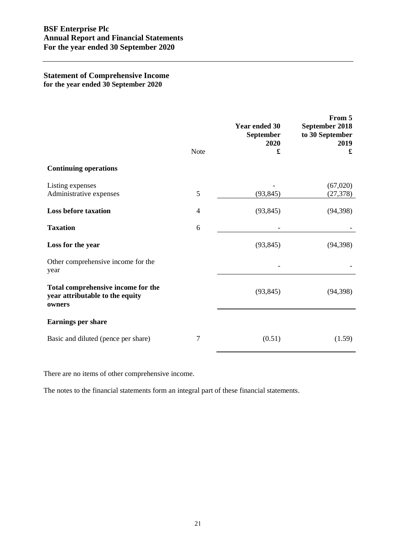# **Statement of Comprehensive Income for the year ended 30 September 2020**

|                                                                                 | Note           | <b>Year ended 30</b><br><b>September</b><br>2020<br>£ | From 5<br>September 2018<br>to 30 September<br>2019<br>£ |
|---------------------------------------------------------------------------------|----------------|-------------------------------------------------------|----------------------------------------------------------|
| <b>Continuing operations</b>                                                    |                |                                                       |                                                          |
| Listing expenses<br>Administrative expenses                                     | 5              | (93, 845)                                             | (67,020)<br>(27, 378)                                    |
| <b>Loss before taxation</b>                                                     | $\overline{4}$ | (93, 845)                                             | (94, 398)                                                |
| <b>Taxation</b>                                                                 | 6              |                                                       |                                                          |
| Loss for the year                                                               |                | (93, 845)                                             | (94, 398)                                                |
| Other comprehensive income for the<br>year                                      |                |                                                       |                                                          |
| Total comprehensive income for the<br>year attributable to the equity<br>owners |                | (93, 845)                                             | (94, 398)                                                |
| <b>Earnings per share</b>                                                       |                |                                                       |                                                          |
| Basic and diluted (pence per share)                                             | $\overline{7}$ | (0.51)                                                | (1.59)                                                   |

There are no items of other comprehensive income.

The notes to the financial statements form an integral part of these financial statements.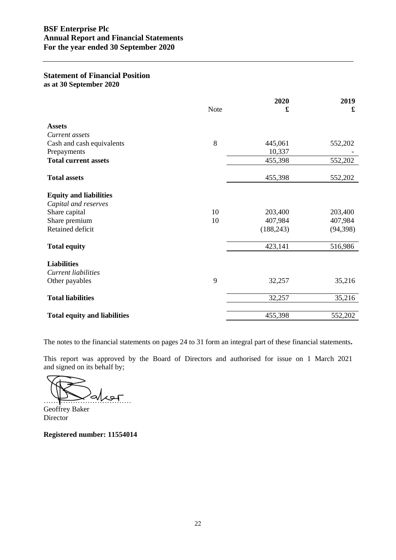# **BSF Enterprise Plc Annual Report and Financial Statements For the year ended 30 September 2020**

### **Statement of Financial Position as at 30 September 2020**

|         | £                                                                                              |
|---------|------------------------------------------------------------------------------------------------|
|         |                                                                                                |
|         |                                                                                                |
|         |                                                                                                |
|         | 552,202                                                                                        |
|         |                                                                                                |
|         | 552,202                                                                                        |
| 455,398 | 552,202                                                                                        |
|         |                                                                                                |
|         |                                                                                                |
|         |                                                                                                |
| 203,400 | 203,400                                                                                        |
|         | 407,984                                                                                        |
|         | (94, 398)                                                                                      |
| 423,141 | 516,986                                                                                        |
|         |                                                                                                |
|         |                                                                                                |
|         |                                                                                                |
|         | 35,216                                                                                         |
| 32,257  | 35,216                                                                                         |
|         | 552,202                                                                                        |
| 8<br>9  | Note<br>445,061<br>10,337<br>455,398<br>10<br>10<br>407,984<br>(188, 243)<br>32,257<br>455,398 |

The notes to the financial statements on pages 24 to 31 form an integral part of these financial statements**.**

This report was approved by the Board of Directors and authorised for issue on 1 March 2021 and signed on its behalf by;

 $\omega$ 

Geoffrey Baker Director

**Registered number: 11554014**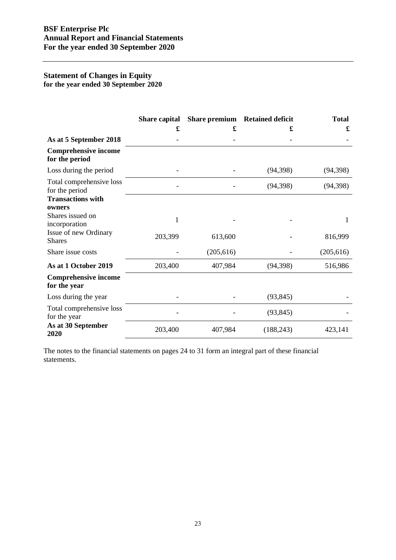# **Statement of Changes in Equity for the year ended 30 September 2020**

|                                               | <b>Share capital</b> |            | Share premium Retained deficit | <b>Total</b> |
|-----------------------------------------------|----------------------|------------|--------------------------------|--------------|
|                                               | £                    | £          | £                              | £            |
| As at 5 September 2018                        |                      |            |                                |              |
| <b>Comprehensive income</b><br>for the period |                      |            |                                |              |
| Loss during the period                        |                      |            | (94, 398)                      | (94, 398)    |
| Total comprehensive loss<br>for the period    |                      |            | (94, 398)                      | (94, 398)    |
| <b>Transactions with</b><br>owners            |                      |            |                                |              |
| Shares issued on<br>incorporation             | 1                    |            |                                | 1            |
| Issue of new Ordinary<br><b>Shares</b>        | 203,399              | 613,600    |                                | 816,999      |
| Share issue costs                             |                      | (205, 616) |                                | (205, 616)   |
| As at 1 October 2019                          | 203,400              | 407,984    | (94, 398)                      | 516,986      |
| <b>Comprehensive income</b><br>for the year   |                      |            |                                |              |
| Loss during the year                          |                      |            | (93, 845)                      |              |
| Total comprehensive loss<br>for the year      |                      |            | (93, 845)                      |              |
| As at 30 September<br>2020                    | 203,400              | 407,984    | (188, 243)                     | 423,141      |

The notes to the financial statements on pages 24 to 31 form an integral part of these financial statements.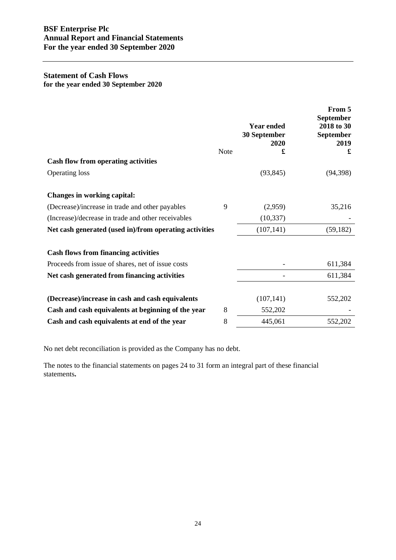# **Statement of Cash Flows for the year ended 30 September 2020**

|                                                        |             | <b>Year ended</b><br>30 September<br>2020 | From 5<br>September<br>2018 to 30<br><b>September</b><br>2019 |
|--------------------------------------------------------|-------------|-------------------------------------------|---------------------------------------------------------------|
|                                                        | <b>Note</b> | £                                         | £                                                             |
| <b>Cash flow from operating activities</b>             |             |                                           |                                                               |
| <b>Operating loss</b>                                  |             | (93, 845)                                 | (94, 398)                                                     |
| <b>Changes in working capital:</b>                     |             |                                           |                                                               |
| (Decrease)/increase in trade and other payables        | 9           | (2,959)                                   | 35,216                                                        |
| (Increase)/decrease in trade and other receivables     |             | (10, 337)                                 |                                                               |
| Net cash generated (used in)/from operating activities |             | (107, 141)                                | (59, 182)                                                     |
| <b>Cash flows from financing activities</b>            |             |                                           |                                                               |
| Proceeds from issue of shares, net of issue costs      |             |                                           | 611,384                                                       |
| Net cash generated from financing activities           |             |                                           | 611,384                                                       |
| (Decrease)/increase in cash and cash equivalents       |             | (107, 141)                                | 552,202                                                       |
| Cash and cash equivalents at beginning of the year     | 8           | 552,202                                   |                                                               |
| Cash and cash equivalents at end of the year           | 8           | 445,061                                   | 552,202                                                       |

No net debt reconciliation is provided as the Company has no debt.

The notes to the financial statements on pages 24 to 31 form an integral part of these financial statements**.**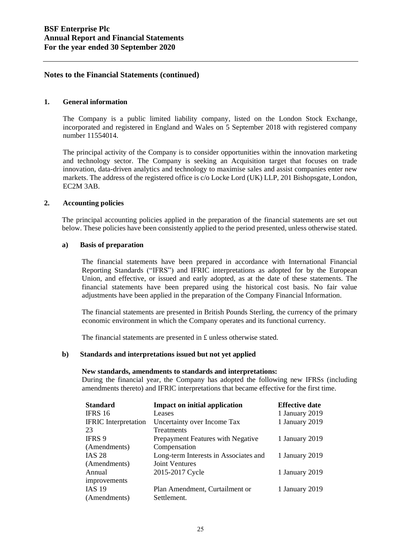### **1. General information**

The Company is a public limited liability company, listed on the London Stock Exchange, incorporated and registered in England and Wales on 5 September 2018 with registered company number 11554014.

The principal activity of the Company is to consider opportunities within the innovation marketing and technology sector. The Company is seeking an Acquisition target that focuses on trade innovation, data-driven analytics and technology to maximise sales and assist companies enter new markets. The address of the registered office is c/o Locke Lord (UK) LLP, 201 Bishopsgate, London, EC2M 3AB.

### **2. Accounting policies**

The principal accounting policies applied in the preparation of the financial statements are set out below. These policies have been consistently applied to the period presented, unless otherwise stated.

### **a) Basis of preparation**

The financial statements have been prepared in accordance with International Financial Reporting Standards ("IFRS") and IFRIC interpretations as adopted for by the European Union, and effective, or issued and early adopted, as at the date of these statements. The financial statements have been prepared using the historical cost basis. No fair value adjustments have been applied in the preparation of the Company Financial Information.

The financial statements are presented in British Pounds Sterling, the currency of the primary economic environment in which the Company operates and its functional currency.

The financial statements are presented in £ unless otherwise stated.

### **b) Standards and interpretations issued but not yet applied**

#### **New standards, amendments to standards and interpretations:**

During the financial year, the Company has adopted the following new IFRSs (including amendments thereto) and IFRIC interpretations that became effective for the first time.

| <b>Standard</b>             | <b>Impact on initial application</b>  | <b>Effective date</b> |
|-----------------------------|---------------------------------------|-----------------------|
| <b>IFRS 16</b>              | Leases                                | 1 January 2019        |
| <b>IFRIC</b> Interpretation | Uncertainty over Income Tax           | 1 January 2019        |
| 23                          | <b>Treatments</b>                     |                       |
| <b>IFRS 9</b>               | Prepayment Features with Negative     | 1 January 2019        |
| (Amendments)                | Compensation                          |                       |
| <b>IAS 28</b>               | Long-term Interests in Associates and | 1 January 2019        |
| (Amendments)                | <b>Joint Ventures</b>                 |                       |
| Annual                      | 2015-2017 Cycle                       | 1 January 2019        |
| improvements                |                                       |                       |
| <b>IAS 19</b>               | Plan Amendment, Curtailment or        | 1 January 2019        |
| (Amendments)                | Settlement.                           |                       |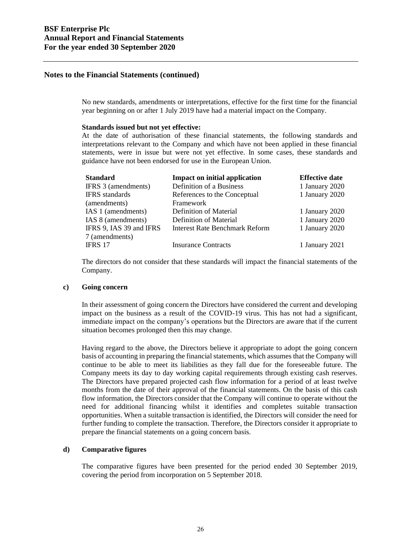No new standards, amendments or interpretations, effective for the first time for the financial year beginning on or after 1 July 2019 have had a material impact on the Company.

### **Standards issued but not yet effective:**

At the date of authorisation of these financial statements, the following standards and interpretations relevant to the Company and which have not been applied in these financial statements, were in issue but were not yet effective. In some cases, these standards and guidance have not been endorsed for use in the European Union.

| <b>Standard</b>         | <b>Impact on initial application</b>  | <b>Effective date</b> |
|-------------------------|---------------------------------------|-----------------------|
| IFRS 3 (amendments)     | Definition of a Business              | 1 January 2020        |
| <b>IFRS</b> standards   | References to the Conceptual          | 1 January 2020        |
| (amendments)            | Framework                             |                       |
| IAS 1 (amendments)      | Definition of Material                | 1 January 2020        |
| IAS 8 (amendments)      | Definition of Material                | 1 January 2020        |
| IFRS 9, IAS 39 and IFRS | <b>Interest Rate Benchmark Reform</b> | 1 January 2020        |
| 7 (amendments)          |                                       |                       |
| IFRS 17                 | <b>Insurance Contracts</b>            | 1 January 2021        |

The directors do not consider that these standards will impact the financial statements of the Company.

#### **c) Going concern**

In their assessment of going concern the Directors have considered the current and developing impact on the business as a result of the COVID-19 virus. This has not had a significant, immediate impact on the company's operations but the Directors are aware that if the current situation becomes prolonged then this may change.

Having regard to the above, the Directors believe it appropriate to adopt the going concern basis of accounting in preparing the financial statements, which assumes that the Company will continue to be able to meet its liabilities as they fall due for the foreseeable future. The Company meets its day to day working capital requirements through existing cash reserves. The Directors have prepared projected cash flow information for a period of at least twelve months from the date of their approval of the financial statements. On the basis of this cash flow information, the Directors consider that the Company will continue to operate without the need for additional financing whilst it identifies and completes suitable transaction opportunities. When a suitable transaction is identified, the Directors will consider the need for further funding to complete the transaction. Therefore, the Directors consider it appropriate to prepare the financial statements on a going concern basis.

### **d) Comparative figures**

The comparative figures have been presented for the period ended 30 September 2019, covering the period from incorporation on 5 September 2018.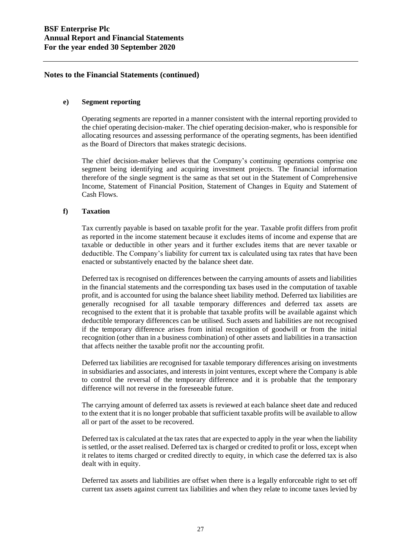### **e) Segment reporting**

Operating segments are reported in a manner consistent with the internal reporting provided to the chief operating decision-maker. The chief operating decision-maker, who is responsible for allocating resources and assessing performance of the operating segments, has been identified as the Board of Directors that makes strategic decisions.

The chief decision-maker believes that the Company's continuing operations comprise one segment being identifying and acquiring investment projects. The financial information therefore of the single segment is the same as that set out in the Statement of Comprehensive Income, Statement of Financial Position, Statement of Changes in Equity and Statement of Cash Flows.

### **f) Taxation**

Tax currently payable is based on taxable profit for the year. Taxable profit differs from profit as reported in the income statement because it excludes items of income and expense that are taxable or deductible in other years and it further excludes items that are never taxable or deductible. The Company's liability for current tax is calculated using tax rates that have been enacted or substantively enacted by the balance sheet date.

Deferred tax is recognised on differences between the carrying amounts of assets and liabilities in the financial statements and the corresponding tax bases used in the computation of taxable profit, and is accounted for using the balance sheet liability method. Deferred tax liabilities are generally recognised for all taxable temporary differences and deferred tax assets are recognised to the extent that it is probable that taxable profits will be available against which deductible temporary differences can be utilised. Such assets and liabilities are not recognised if the temporary difference arises from initial recognition of goodwill or from the initial recognition (other than in a business combination) of other assets and liabilities in a transaction that affects neither the taxable profit nor the accounting profit.

Deferred tax liabilities are recognised for taxable temporary differences arising on investments in subsidiaries and associates, and interests in joint ventures, except where the Company is able to control the reversal of the temporary difference and it is probable that the temporary difference will not reverse in the foreseeable future.

The carrying amount of deferred tax assets is reviewed at each balance sheet date and reduced to the extent that it is no longer probable that sufficient taxable profits will be available to allow all or part of the asset to be recovered.

Deferred tax is calculated at the tax rates that are expected to apply in the year when the liability is settled, or the asset realised. Deferred tax is charged or credited to profit or loss, except when it relates to items charged or credited directly to equity, in which case the deferred tax is also dealt with in equity.

Deferred tax assets and liabilities are offset when there is a legally enforceable right to set off current tax assets against current tax liabilities and when they relate to income taxes levied by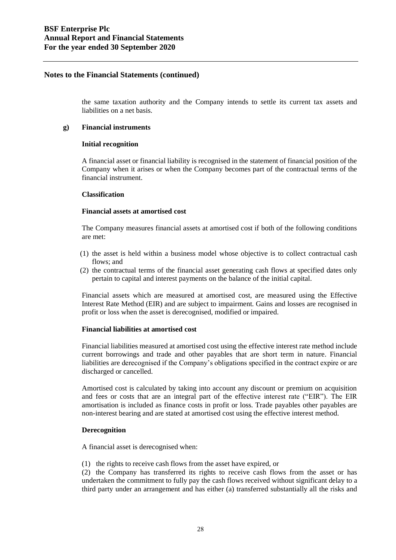the same taxation authority and the Company intends to settle its current tax assets and liabilities on a net basis.

### **g) Financial instruments**

### **Initial recognition**

A financial asset or financial liability is recognised in the statement of financial position of the Company when it arises or when the Company becomes part of the contractual terms of the financial instrument.

### **Classification**

### **Financial assets at amortised cost**

The Company measures financial assets at amortised cost if both of the following conditions are met:

- (1) the asset is held within a business model whose objective is to collect contractual cash flows; and
- (2) the contractual terms of the financial asset generating cash flows at specified dates only pertain to capital and interest payments on the balance of the initial capital.

Financial assets which are measured at amortised cost, are measured using the Effective Interest Rate Method (EIR) and are subject to impairment. Gains and losses are recognised in profit or loss when the asset is derecognised, modified or impaired.

### **Financial liabilities at amortised cost**

Financial liabilities measured at amortised cost using the effective interest rate method include current borrowings and trade and other payables that are short term in nature. Financial liabilities are derecognised if the Company's obligations specified in the contract expire or are discharged or cancelled.

Amortised cost is calculated by taking into account any discount or premium on acquisition and fees or costs that are an integral part of the effective interest rate ("EIR"). The EIR amortisation is included as finance costs in profit or loss. Trade payables other payables are non-interest bearing and are stated at amortised cost using the effective interest method.

### **Derecognition**

A financial asset is derecognised when:

(1) the rights to receive cash flows from the asset have expired, or

(2) the Company has transferred its rights to receive cash flows from the asset or has undertaken the commitment to fully pay the cash flows received without significant delay to a third party under an arrangement and has either (a) transferred substantially all the risks and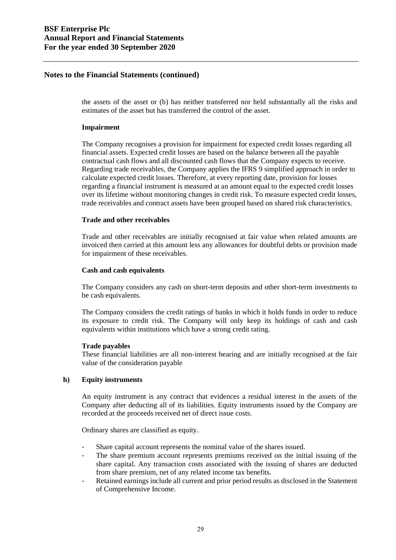the assets of the asset or (b) has neither transferred nor held substantially all the risks and estimates of the asset but has transferred the control of the asset.

### **Impairment**

The Company recognises a provision for impairment for expected credit losses regarding all financial assets. Expected credit losses are based on the balance between all the payable contractual cash flows and all discounted cash flows that the Company expects to receive. Regarding trade receivables, the Company applies the IFRS 9 simplified approach in order to calculate expected credit losses. Therefore, at every reporting date, provision for losses regarding a financial instrument is measured at an amount equal to the expected credit losses over its lifetime without monitoring changes in credit risk. To measure expected credit losses, trade receivables and contract assets have been grouped based on shared risk characteristics.

### **Trade and other receivables**

Trade and other receivables are initially recognised at fair value when related amounts are invoiced then carried at this amount less any allowances for doubtful debts or provision made for impairment of these receivables.

### **Cash and cash equivalents**

The Company considers any cash on short-term deposits and other short-term investments to be cash equivalents.

The Company considers the credit ratings of banks in which it holds funds in order to reduce its exposure to credit risk. The Company will only keep its holdings of cash and cash equivalents within institutions which have a strong credit rating.

#### **Trade payables**

These financial liabilities are all non-interest bearing and are initially recognised at the fair value of the consideration payable

### **h) Equity instruments**

An equity instrument is any contract that evidences a residual interest in the assets of the Company after deducting all of its liabilities. Equity instruments issued by the Company are recorded at the proceeds received net of direct issue costs.

Ordinary shares are classified as equity.

- Share capital account represents the nominal value of the shares issued.
- The share premium account represents premiums received on the initial issuing of the share capital. Any transaction costs associated with the issuing of shares are deducted from share premium, net of any related income tax benefits.
- Retained earnings include all current and prior period results as disclosed in the Statement of Comprehensive Income.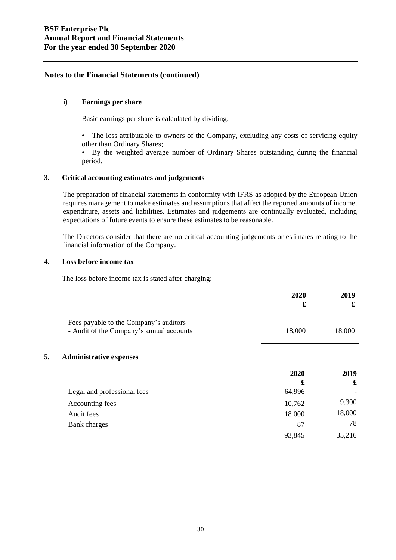### **i) Earnings per share**

Basic earnings per share is calculated by dividing:

• The loss attributable to owners of the Company, excluding any costs of servicing equity other than Ordinary Shares;

• By the weighted average number of Ordinary Shares outstanding during the financial period.

### **3. Critical accounting estimates and judgements**

The preparation of financial statements in conformity with IFRS as adopted by the European Union requires management to make estimates and assumptions that affect the reported amounts of income, expenditure, assets and liabilities. Estimates and judgements are continually evaluated, including expectations of future events to ensure these estimates to be reasonable.

The Directors consider that there are no critical accounting judgements or estimates relating to the financial information of the Company.

### **4. Loss before income tax**

The loss before income tax is stated after charging:

|                                                                                    | 2020   | 2019   |
|------------------------------------------------------------------------------------|--------|--------|
| Fees payable to the Company's auditors<br>- Audit of the Company's annual accounts | 18,000 | 18,000 |

### **5. Administrative expenses**

|                             | 2020   | 2019   |
|-----------------------------|--------|--------|
|                             | £      | £      |
| Legal and professional fees | 64,996 |        |
| Accounting fees             | 10,762 | 9,300  |
| Audit fees                  | 18,000 | 18,000 |
| Bank charges                | 87     | 78     |
|                             | 93,845 | 35,216 |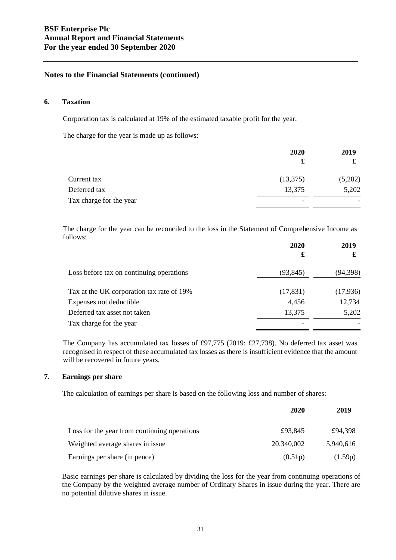### **6. Taxation**

Corporation tax is calculated at 19% of the estimated taxable profit for the year.

The charge for the year is made up as follows:

|                         | 2020     | 2019<br>x |
|-------------------------|----------|-----------|
|                         | £        |           |
| Current tax             | (13,375) | (5,202)   |
| Deferred tax            | 13,375   | 5,202     |
| Tax charge for the year |          |           |

The charge for the year can be reconciled to the loss in the Statement of Comprehensive Income as follows:

|                                           | 2020<br>£ | 2019<br>£ |
|-------------------------------------------|-----------|-----------|
| Loss before tax on continuing operations  | (93, 845) | (94, 398) |
| Tax at the UK corporation tax rate of 19% | (17, 831) | (17,936)  |
| Expenses not deductible                   | 4,456     | 12,734    |
| Deferred tax asset not taken              | 13,375    | 5,202     |
| Tax charge for the year                   |           |           |

The Company has accumulated tax losses of £97,775 (2019: £27,738). No deferred tax asset was recognised in respect of these accumulated tax losses as there is insufficient evidence that the amount will be recovered in future years.

# **7. Earnings per share**

The calculation of earnings per share is based on the following loss and number of shares:

|                                              | 2020       | 2019      |
|----------------------------------------------|------------|-----------|
| Loss for the year from continuing operations | £93.845    | £94,398   |
| Weighted average shares in issue             | 20,340,002 | 5,940,616 |
| Earnings per share (in pence)                | (0.51p)    | (1.59p)   |

Basic earnings per share is calculated by dividing the loss for the year from continuing operations of the Company by the weighted average number of Ordinary Shares in issue during the year. There are no potential dilutive shares in issue.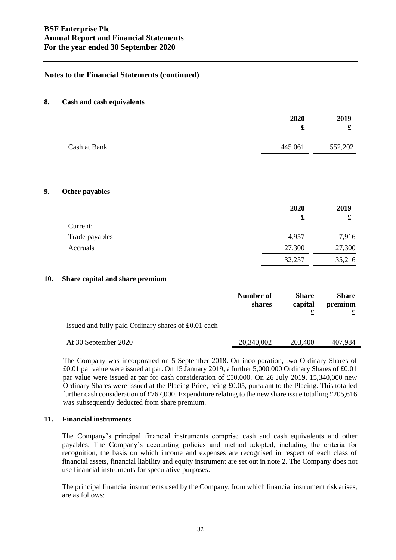#### **8. Cash and cash equivalents**

|              | 2020<br>£ | 2019<br>£ |
|--------------|-----------|-----------|
| Cash at Bank | 445,061   | 552,202   |

### **9. Other payables**

|                | 2020   | 2019<br>£ |
|----------------|--------|-----------|
|                | £      |           |
| Current:       |        |           |
| Trade payables | 4,957  | 7,916     |
| Accruals       | 27,300 | 27,300    |
|                | 32,257 | 35,216    |

### **10. Share capital and share premium**

|                                                     | Number of<br>shares | <b>Share</b><br>capital | <b>Share</b><br>premium |
|-----------------------------------------------------|---------------------|-------------------------|-------------------------|
| Issued and fully paid Ordinary shares of £0.01 each |                     |                         |                         |
| At 30 September 2020                                | 20,340,002          | 203,400                 | 407,984                 |

The Company was incorporated on 5 September 2018. On incorporation, two Ordinary Shares of £0.01 par value were issued at par. On 15 January 2019, a further 5,000,000 Ordinary Shares of £0.01 par value were issued at par for cash consideration of £50,000. On 26 July 2019, 15,340,000 new Ordinary Shares were issued at the Placing Price, being £0.05, pursuant to the Placing. This totalled further cash consideration of £767,000. Expenditure relating to the new share issue totalling £205,616 was subsequently deducted from share premium.

# **11. Financial instruments**

The Company's principal financial instruments comprise cash and cash equivalents and other payables. The Company's accounting policies and method adopted, including the criteria for recognition, the basis on which income and expenses are recognised in respect of each class of financial assets, financial liability and equity instrument are set out in note 2. The Company does not use financial instruments for speculative purposes.

The principal financial instruments used by the Company, from which financial instrument risk arises, are as follows: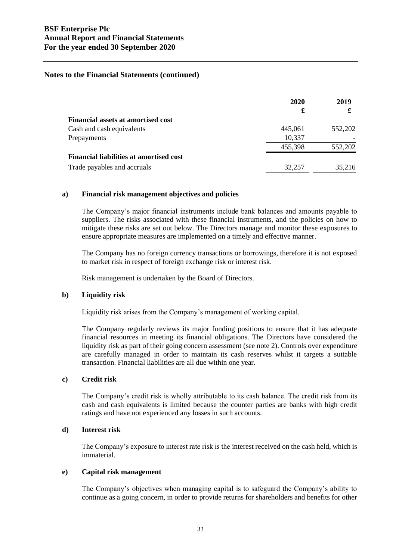|                                                | 2020    | 2019    |
|------------------------------------------------|---------|---------|
|                                                | £       | £       |
| <b>Financial assets at amortised cost</b>      |         |         |
| Cash and cash equivalents                      | 445,061 | 552,202 |
| Prepayments                                    | 10,337  |         |
|                                                | 455,398 | 552,202 |
| <b>Financial liabilities at amortised cost</b> |         |         |
| Trade payables and accruals                    | 32,257  | 35,216  |

### **a) Financial risk management objectives and policies**

The Company's major financial instruments include bank balances and amounts payable to suppliers. The risks associated with these financial instruments, and the policies on how to mitigate these risks are set out below. The Directors manage and monitor these exposures to ensure appropriate measures are implemented on a timely and effective manner.

The Company has no foreign currency transactions or borrowings, therefore it is not exposed to market risk in respect of foreign exchange risk or interest risk.

Risk management is undertaken by the Board of Directors.

### **b) Liquidity risk**

Liquidity risk arises from the Company's management of working capital.

The Company regularly reviews its major funding positions to ensure that it has adequate financial resources in meeting its financial obligations. The Directors have considered the liquidity risk as part of their going concern assessment (see note 2). Controls over expenditure are carefully managed in order to maintain its cash reserves whilst it targets a suitable transaction. Financial liabilities are all due within one year.

#### **c) Credit risk**

The Company's credit risk is wholly attributable to its cash balance. The credit risk from its cash and cash equivalents is limited because the counter parties are banks with high credit ratings and have not experienced any losses in such accounts.

### **d) Interest risk**

The Company's exposure to interest rate risk is the interest received on the cash held, which is immaterial.

### **e) Capital risk management**

The Company's objectives when managing capital is to safeguard the Company's ability to continue as a going concern, in order to provide returns for shareholders and benefits for other